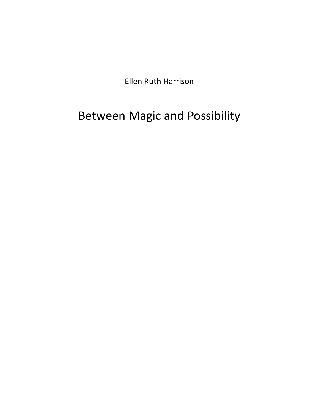Ellen Ruth Harrison

# Between Magic and Possibility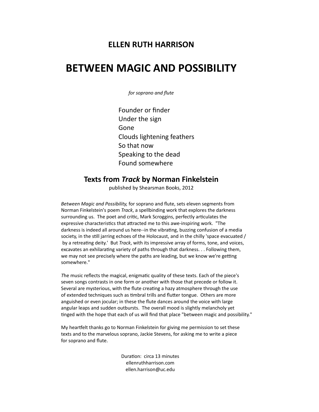#### **ELLEN RUTH HARRISON**

# **BETWEEN MAGIC AND POSSIBILITY**

*for soprano and flute* 

Founder or finder Under the sign Gone Clouds lightening feathers So that now Speaking to the dead Found somewhere

#### **Texts from** *Track* **by Norman Finkelstein**

published by Shearsman Books, 2012

Between Magic and Possibility, for soprano and flute, sets eleven segments from Norman Finkelstein's poem *Track*, a spellbinding work that explores the darkness surrounding us. The poet and critic, Mark Scroggins, perfectly articulates the expressive characteristics that attracted me to this awe-inspiring work. "The darkness is indeed all around us here--in the vibrating, buzzing confusion of a media society, in the still jarring echoes of the Holocaust, and in the chilly 'space evacuated / by a retreating deity.' But *Track*, with its impressive array of forms, tone, and voices, excavates an exhilarating variety of paths through that darkness. . . Following them, we may not see precisely where the paths are leading, but we know we're getting somewhere."

*The music reflects the magical, enigmatic quality of these texts. Each of the piece's* seven songs contrasts in one form or another with those that precede or follow it. Several are mysterious, with the flute creating a hazy atmosphere through the use of extended techniques such as timbral trills and flutter tongue. Others are more anguished or even jocular; in these the flute dances around the voice with large angular leaps and sudden outbursts. The overall mood is slightly melancholy yet tinged with the hope that each of us will find that place "between magic and possibility."

My heartfelt thanks go to Norman Finkelstein for giving me permission to set these texts and to the marvelous soprano, Jackie Stevens, for asking me to write a piece for soprano and flute.

> Duration: circa 13 minutes ellenruthharrison.com ellen.harrison@uc.edu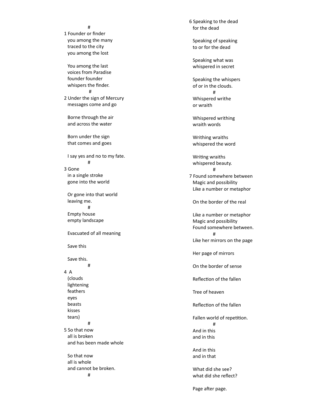# 1 Founder or finder you among the many traced to the city you among the lost You among the last voices from Paradise founder founder whispers the finder. # 2 Under the sign of Mercury messages come and go Borne through the air and across the water Born under the sign that comes and goes I say yes and no to my fate. # 3 Gone in a single stroke gone into the world Or gone into that world leaving me. # Empty house empty landscape Evacuated of all meaning Save this Save this. # 4 A (clouds lightening feathers eyes beasts kisses tears) # 5 So that now all is broken and has been made whole So that now all is whole and cannot be broken. #

6 Speaking to the dead for the dead Speaking of speaking to or for the dead Speaking what was whispered in secret Speaking the whispers of or in the clouds. # Whispered writhe or wraith Whispered writhing wraith words Writhing wraiths whispered the word Writing wraiths whispered beauty. # 7 Found somewhere between Magic and possibility Like a number or metaphor On the border of the real Like a number or metaphor Magic and possibility Found somewhere between. # Like her mirrors on the page Her page of mirrors On the border of sense Reflection of the fallen Tree of heaven Reflection of the fallen Fallen world of repetition. # And in this and in this And in this and in that What did she see? what did she reflect?

Page after page.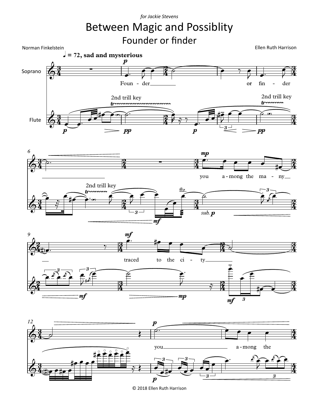### Between Magic and Possiblity *for Jackie Stevens* Founder or finder

Soprano Flute Foun  $\boldsymbol{p}$ - der or fin - der q **= 72, sad and mysterious**  $p \sim p$  pp pp  $p \sim p$ <u>3្</u> 3<br>4 <u>2</u>  $\frac{2}{4}$ <u>3្</u> 3<br>4 <u>3្</u>  $\frac{3}{4}$ <u>2</u>  $\frac{2}{4}$ <u>3្</u>  $\frac{3}{4}$  $\frac{3}{94}$  -Norman Finkelstein Ellen Ruth Harrison  $\Phi$ 2nd trill key  $t$ r $+$  $\overline{\phantom{a}}$ 3 2nd trill key  $t$ r $+$  $t$  $\overline{\phantom{a}}$ .  $\overline{7}$  $\overrightarrow{a}$  $\bullet$   $\bullet$   $\bullet$ J  $\begin{array}{|c|c|c|}\hline \text{F} & \text{F} & \text{F} & \text{F} \\ \hline \text{F} & \text{F} & \text{F} & \text{F} \\ \hline \text{F} & \text{F} & \text{F} & \text{F} \\ \hline \end{array}$  $8,77$  $\epsilon$  $\bar{\bar{z}}$  $\overline{\mathcal{C}}$ 







© 2018 Ellen Ruth Harrison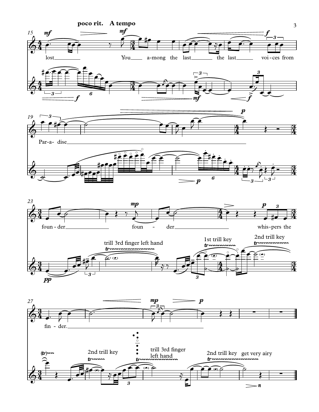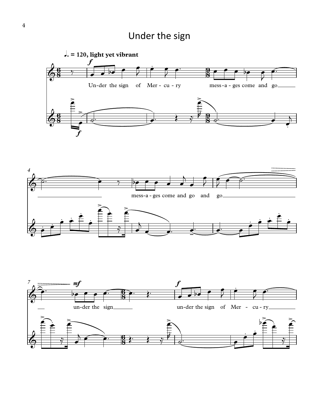# Under the sign





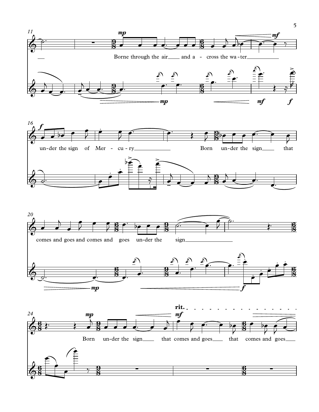





 $\frac{9}{8}$ 

<u>ե</u><br>8

 $\overline{v}$   $\overline{v}$   $\overline{v}$   $\overline{v}$   $\overline{v}$ 

 $\Phi$ 



<u>ե</u><br>8

œ œ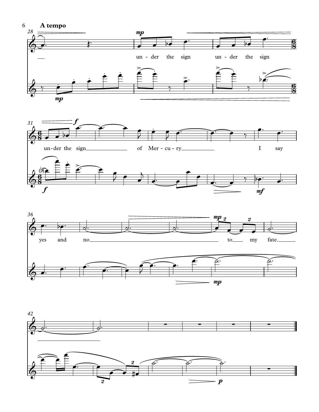





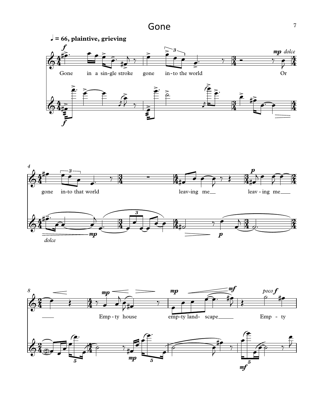## Gone





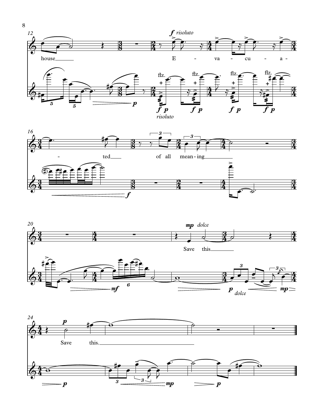









8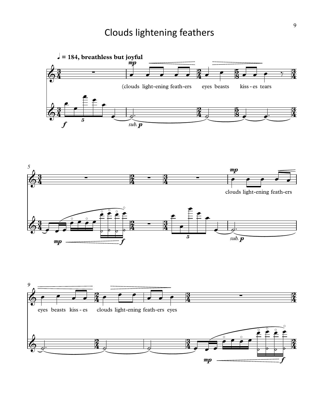# Clouds lightening feathers





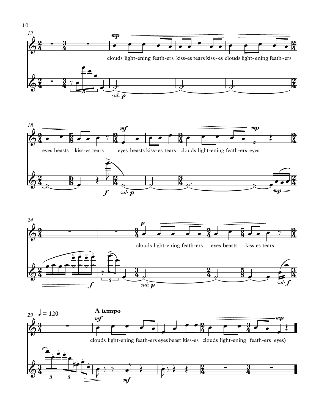







10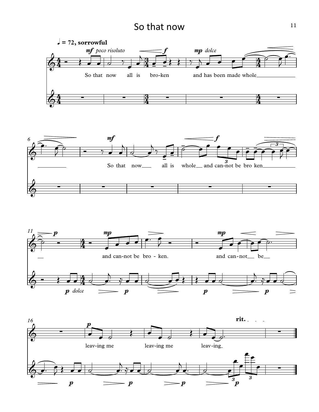#### So that now

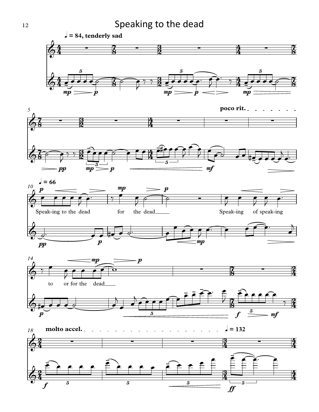# Speaking to the dead









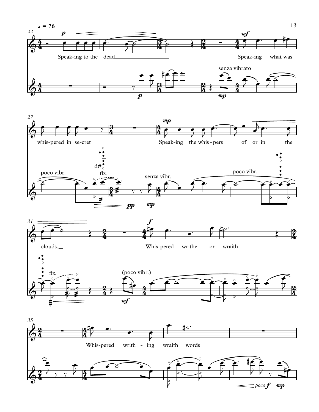





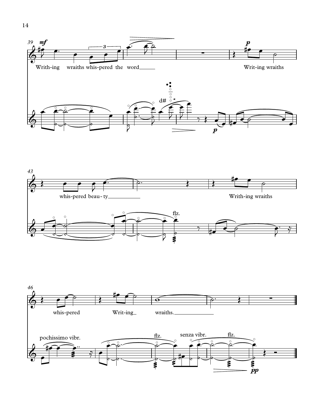



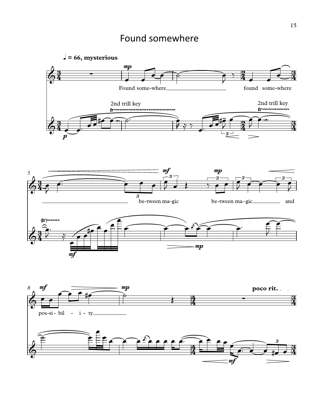## Found somewhere

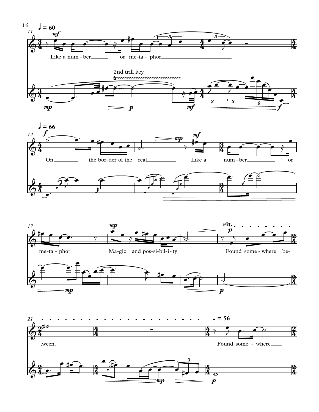





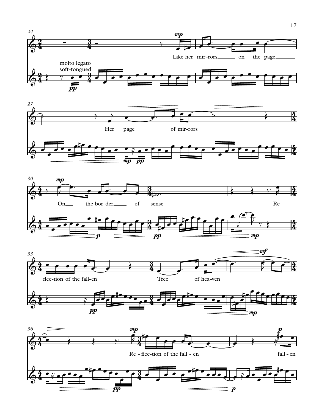